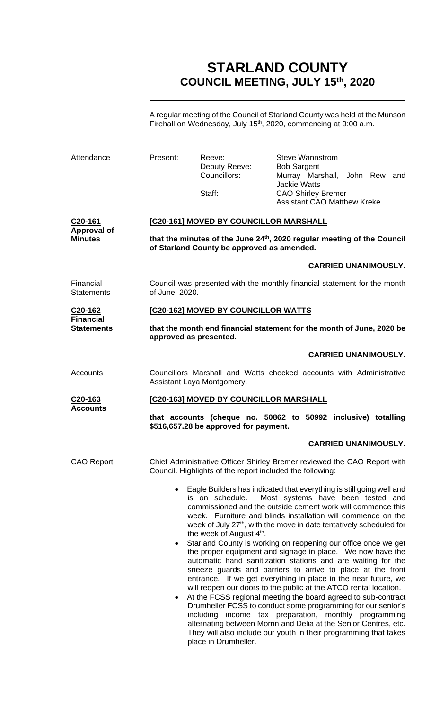# **STARLAND COUNTY COUNCIL MEETING, JULY 15th, 2020**

A regular meeting of the Council of Starland County was held at the Munson Firehall on Wednesday, July  $15<sup>th</sup>$ , 2020, commencing at 9:00 a.m.

| Attendance                                      | Present:                                                                                                                                                                    | Reeve:<br>Deputy Reeve:<br>Councillors:<br>Staff:                               | <b>Steve Wannstrom</b><br><b>Bob Sargent</b><br>Murray Marshall, John Rew and<br><b>Jackie Watts</b><br><b>CAO Shirley Bremer</b><br><b>Assistant CAO Matthew Kreke</b>                                                                                                                                                                                                                                                                                                                                                                                                                                                                                                                                                                                                                                                                                                                                                                                                                                                                                           |  |
|-------------------------------------------------|-----------------------------------------------------------------------------------------------------------------------------------------------------------------------------|---------------------------------------------------------------------------------|-------------------------------------------------------------------------------------------------------------------------------------------------------------------------------------------------------------------------------------------------------------------------------------------------------------------------------------------------------------------------------------------------------------------------------------------------------------------------------------------------------------------------------------------------------------------------------------------------------------------------------------------------------------------------------------------------------------------------------------------------------------------------------------------------------------------------------------------------------------------------------------------------------------------------------------------------------------------------------------------------------------------------------------------------------------------|--|
| C20-161<br><b>Approval of</b><br><b>Minutes</b> | [C20-161] MOVED BY COUNCILLOR MARSHALL<br>that the minutes of the June 24 <sup>th</sup> , 2020 regular meeting of the Council<br>of Starland County be approved as amended. |                                                                                 |                                                                                                                                                                                                                                                                                                                                                                                                                                                                                                                                                                                                                                                                                                                                                                                                                                                                                                                                                                                                                                                                   |  |
|                                                 |                                                                                                                                                                             |                                                                                 | <b>CARRIED UNANIMOUSLY.</b>                                                                                                                                                                                                                                                                                                                                                                                                                                                                                                                                                                                                                                                                                                                                                                                                                                                                                                                                                                                                                                       |  |
| Financial<br><b>Statements</b>                  | Council was presented with the monthly financial statement for the month<br>of June, 2020.                                                                                  |                                                                                 |                                                                                                                                                                                                                                                                                                                                                                                                                                                                                                                                                                                                                                                                                                                                                                                                                                                                                                                                                                                                                                                                   |  |
| C <sub>20</sub> -162<br><b>Financial</b>        |                                                                                                                                                                             | [C20-162] MOVED BY COUNCILLOR WATTS                                             |                                                                                                                                                                                                                                                                                                                                                                                                                                                                                                                                                                                                                                                                                                                                                                                                                                                                                                                                                                                                                                                                   |  |
| <b>Statements</b>                               | that the month end financial statement for the month of June, 2020 be<br>approved as presented.                                                                             |                                                                                 |                                                                                                                                                                                                                                                                                                                                                                                                                                                                                                                                                                                                                                                                                                                                                                                                                                                                                                                                                                                                                                                                   |  |
|                                                 |                                                                                                                                                                             |                                                                                 | <b>CARRIED UNANIMOUSLY.</b>                                                                                                                                                                                                                                                                                                                                                                                                                                                                                                                                                                                                                                                                                                                                                                                                                                                                                                                                                                                                                                       |  |
| Accounts                                        |                                                                                                                                                                             | Assistant Laya Montgomery.                                                      | Councillors Marshall and Watts checked accounts with Administrative                                                                                                                                                                                                                                                                                                                                                                                                                                                                                                                                                                                                                                                                                                                                                                                                                                                                                                                                                                                               |  |
| C20-163                                         | [C20-163] MOVED BY COUNCILLOR MARSHALL                                                                                                                                      |                                                                                 |                                                                                                                                                                                                                                                                                                                                                                                                                                                                                                                                                                                                                                                                                                                                                                                                                                                                                                                                                                                                                                                                   |  |
| <b>Accounts</b>                                 | that accounts (cheque no. 50862 to 50992 inclusive) totalling<br>\$516,657.28 be approved for payment.                                                                      |                                                                                 |                                                                                                                                                                                                                                                                                                                                                                                                                                                                                                                                                                                                                                                                                                                                                                                                                                                                                                                                                                                                                                                                   |  |
|                                                 |                                                                                                                                                                             |                                                                                 | <b>CARRIED UNANIMOUSLY.</b>                                                                                                                                                                                                                                                                                                                                                                                                                                                                                                                                                                                                                                                                                                                                                                                                                                                                                                                                                                                                                                       |  |
| <b>CAO Report</b>                               |                                                                                                                                                                             | Council. Highlights of the report included the following:                       | Chief Administrative Officer Shirley Bremer reviewed the CAO Report with                                                                                                                                                                                                                                                                                                                                                                                                                                                                                                                                                                                                                                                                                                                                                                                                                                                                                                                                                                                          |  |
|                                                 | $\bullet$                                                                                                                                                                   | is on schedule.<br>the week of August 4 <sup>th</sup> .<br>place in Drumheller. | Eagle Builders has indicated that everything is still going well and<br>Most systems have been tested and<br>commissioned and the outside cement work will commence this<br>week. Furniture and blinds installation will commence on the<br>week of July 27 <sup>th</sup> , with the move in date tentatively scheduled for<br>Starland County is working on reopening our office once we get<br>the proper equipment and signage in place. We now have the<br>automatic hand sanitization stations and are waiting for the<br>sneeze guards and barriers to arrive to place at the front<br>entrance. If we get everything in place in the near future, we<br>will reopen our doors to the public at the ATCO rental location.<br>At the FCSS regional meeting the board agreed to sub-contract<br>Drumheller FCSS to conduct some programming for our senior's<br>including income tax preparation, monthly programming<br>alternating between Morrin and Delia at the Senior Centres, etc.<br>They will also include our youth in their programming that takes |  |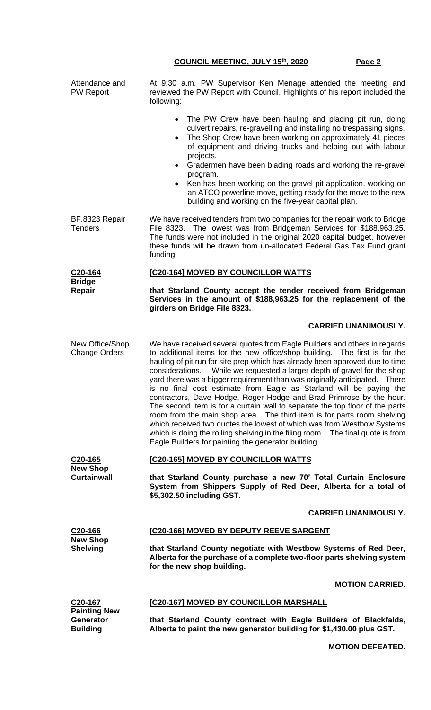| Attendance and<br><b>PW Report</b>                         | At 9:30 a.m. PW Supervisor Ken Menage attended the meeting and<br>reviewed the PW Report with Council. Highlights of his report included the<br>following:                                                                                                                                                                                                                                                                                                                                                                                                                                                                                                                                                                                                                                                                                                                                                                         |  |  |
|------------------------------------------------------------|------------------------------------------------------------------------------------------------------------------------------------------------------------------------------------------------------------------------------------------------------------------------------------------------------------------------------------------------------------------------------------------------------------------------------------------------------------------------------------------------------------------------------------------------------------------------------------------------------------------------------------------------------------------------------------------------------------------------------------------------------------------------------------------------------------------------------------------------------------------------------------------------------------------------------------|--|--|
|                                                            | The PW Crew have been hauling and placing pit run, doing<br>$\bullet$<br>culvert repairs, re-gravelling and installing no trespassing signs.<br>The Shop Crew have been working on approximately 41 pieces<br>of equipment and driving trucks and helping out with labour<br>projects.<br>Gradermen have been blading roads and working the re-gravel<br>$\bullet$<br>program.<br>Ken has been working on the gravel pit application, working on<br>$\bullet$<br>an ATCO powerline move, getting ready for the move to the new                                                                                                                                                                                                                                                                                                                                                                                                     |  |  |
|                                                            | building and working on the five-year capital plan.                                                                                                                                                                                                                                                                                                                                                                                                                                                                                                                                                                                                                                                                                                                                                                                                                                                                                |  |  |
| BF.8323 Repair<br><b>Tenders</b>                           | We have received tenders from two companies for the repair work to Bridge<br>File 8323. The lowest was from Bridgeman Services for \$188,963.25.<br>The funds were not included in the original 2020 capital budget, however<br>these funds will be drawn from un-allocated Federal Gas Tax Fund grant<br>funding.                                                                                                                                                                                                                                                                                                                                                                                                                                                                                                                                                                                                                 |  |  |
| C <sub>20</sub> -164<br><b>Bridge</b>                      | [C20-164] MOVED BY COUNCILLOR WATTS                                                                                                                                                                                                                                                                                                                                                                                                                                                                                                                                                                                                                                                                                                                                                                                                                                                                                                |  |  |
| Repair                                                     | that Starland County accept the tender received from Bridgeman<br>Services in the amount of \$188,963.25 for the replacement of the<br>girders on Bridge File 8323.                                                                                                                                                                                                                                                                                                                                                                                                                                                                                                                                                                                                                                                                                                                                                                |  |  |
|                                                            | <b>CARRIED UNANIMOUSLY.</b>                                                                                                                                                                                                                                                                                                                                                                                                                                                                                                                                                                                                                                                                                                                                                                                                                                                                                                        |  |  |
| New Office/Shop<br><b>Change Orders</b>                    | We have received several quotes from Eagle Builders and others in regards<br>to additional items for the new office/shop building. The first is for the<br>hauling of pit run for site prep which has already been approved due to time<br>While we requested a larger depth of gravel for the shop<br>considerations.<br>yard there was a bigger requirement than was originally anticipated. There<br>is no final cost estimate from Eagle as Starland will be paying the<br>contractors, Dave Hodge, Roger Hodge and Brad Primrose by the hour.<br>The second item is for a curtain wall to separate the top floor of the parts<br>room from the main shop area. The third item is for parts room shelving<br>which received two quotes the lowest of which was from Westbow Systems<br>which is doing the rolling shelving in the filing room.  The final quote is from<br>Eagle Builders for painting the generator building. |  |  |
| C <sub>20</sub> -165                                       | [C20-165] MOVED BY COUNCILLOR WATTS                                                                                                                                                                                                                                                                                                                                                                                                                                                                                                                                                                                                                                                                                                                                                                                                                                                                                                |  |  |
| <b>New Shop</b><br><b>Curtainwall</b>                      | that Starland County purchase a new 70' Total Curtain Enclosure<br>System from Shippers Supply of Red Deer, Alberta for a total of<br>\$5,302.50 including GST.                                                                                                                                                                                                                                                                                                                                                                                                                                                                                                                                                                                                                                                                                                                                                                    |  |  |
|                                                            | <b>CARRIED UNANIMOUSLY.</b>                                                                                                                                                                                                                                                                                                                                                                                                                                                                                                                                                                                                                                                                                                                                                                                                                                                                                                        |  |  |
| C <sub>20</sub> -166<br><b>New Shop</b><br><b>Shelving</b> | [C20-166] MOVED BY DEPUTY REEVE SARGENT                                                                                                                                                                                                                                                                                                                                                                                                                                                                                                                                                                                                                                                                                                                                                                                                                                                                                            |  |  |
|                                                            | that Starland County negotiate with Westbow Systems of Red Deer,<br>Alberta for the purchase of a complete two-floor parts shelving system<br>for the new shop building.                                                                                                                                                                                                                                                                                                                                                                                                                                                                                                                                                                                                                                                                                                                                                           |  |  |
|                                                            | <b>MOTION CARRIED.</b>                                                                                                                                                                                                                                                                                                                                                                                                                                                                                                                                                                                                                                                                                                                                                                                                                                                                                                             |  |  |
| C <sub>20</sub> -167<br><b>Painting New</b>                | [C20-167] MOVED BY COUNCILLOR MARSHALL                                                                                                                                                                                                                                                                                                                                                                                                                                                                                                                                                                                                                                                                                                                                                                                                                                                                                             |  |  |
| Generator<br><b>Building</b>                               | that Starland County contract with Eagle Builders of Blackfalds,<br>Alberta to paint the new generator building for \$1,430.00 plus GST.                                                                                                                                                                                                                                                                                                                                                                                                                                                                                                                                                                                                                                                                                                                                                                                           |  |  |

**MOTION DEFEATED.**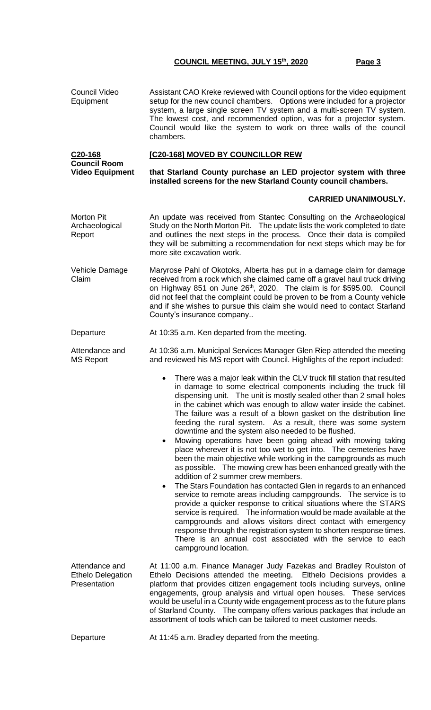Council Video Equipment Assistant CAO Kreke reviewed with Council options for the video equipment setup for the new council chambers. Options were included for a projector system, a large single screen TV system and a multi-screen TV system. The lowest cost, and recommended option, was for a projector system. Council would like the system to work on three walls of the council chambers. **C20-168 Council Room Video Equipment [C20-168] MOVED BY COUNCILLOR REW that Starland County purchase an LED projector system with three installed screens for the new Starland County council chambers. CARRIED UNANIMOUSLY.** Morton Pit Archaeological Report An update was received from Stantec Consulting on the Archaeological Study on the North Morton Pit. The update lists the work completed to date and outlines the next steps in the process. Once their data is compiled they will be submitting a recommendation for next steps which may be for more site excavation work. Vehicle Damage Claim Maryrose Pahl of Okotoks, Alberta has put in a damage claim for damage received from a rock which she claimed came off a gravel haul truck driving on Highway 851 on June 26th, 2020. The claim is for \$595.00. Council did not feel that the complaint could be proven to be from a County vehicle and if she wishes to pursue this claim she would need to contact Starland County's insurance company.. Departure At 10:35 a.m. Ken departed from the meeting. Attendance and MS Report At 10:36 a.m. Municipal Services Manager Glen Riep attended the meeting and reviewed his MS report with Council. Highlights of the report included: There was a major leak within the CLV truck fill station that resulted in damage to some electrical components including the truck fill dispensing unit. The unit is mostly sealed other than 2 small holes in the cabinet which was enough to allow water inside the cabinet. The failure was a result of a blown gasket on the distribution line feeding the rural system. As a result, there was some system downtime and the system also needed to be flushed. • Mowing operations have been going ahead with mowing taking place wherever it is not too wet to get into. The cemeteries have been the main objective while working in the campgrounds as much as possible. The mowing crew has been enhanced greatly with the addition of 2 summer crew members. • The Stars Foundation has contacted Glen in regards to an enhanced service to remote areas including campgrounds. The service is to provide a quicker response to critical situations where the STARS service is required. The information would be made available at the campgrounds and allows visitors direct contact with emergency response through the registration system to shorten response times. There is an annual cost associated with the service to each campground location. Attendance and Ethelo Delegation **Presentation** At 11:00 a.m. Finance Manager Judy Fazekas and Bradley Roulston of Ethelo Decisions attended the meeting. Elthelo Decisions provides a platform that provides citizen engagement tools including surveys, online engagements, group analysis and virtual open houses. These services would be useful in a County wide engagement process as to the future plans of Starland County. The company offers various packages that include an assortment of tools which can be tailored to meet customer needs. Departure **At 11:45 a.m. Bradley departed from the meeting.**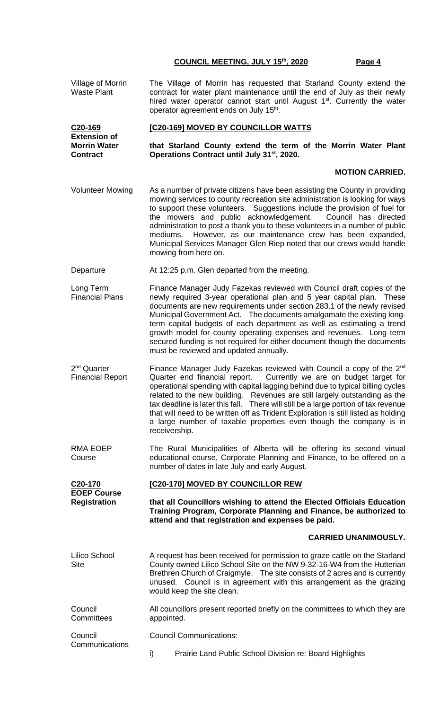| Village of Morrin<br><b>Waste Plant</b>                       | The Village of Morrin has requested that Starland County extend the<br>contract for water plant maintenance until the end of July as their newly<br>hired water operator cannot start until August 1 <sup>st</sup> . Currently the water<br>operator agreement ends on July 15 <sup>th</sup> .                                                                                                                                                                                                                                                                                                 |  |  |
|---------------------------------------------------------------|------------------------------------------------------------------------------------------------------------------------------------------------------------------------------------------------------------------------------------------------------------------------------------------------------------------------------------------------------------------------------------------------------------------------------------------------------------------------------------------------------------------------------------------------------------------------------------------------|--|--|
| C20-169                                                       | [C20-169] MOVED BY COUNCILLOR WATTS                                                                                                                                                                                                                                                                                                                                                                                                                                                                                                                                                            |  |  |
| <b>Extension of</b><br><b>Morrin Water</b><br><b>Contract</b> | that Starland County extend the term of the Morrin Water Plant<br>Operations Contract until July 31 <sup>st</sup> , 2020.                                                                                                                                                                                                                                                                                                                                                                                                                                                                      |  |  |
|                                                               | <b>MOTION CARRIED.</b>                                                                                                                                                                                                                                                                                                                                                                                                                                                                                                                                                                         |  |  |
| <b>Volunteer Mowing</b>                                       | As a number of private citizens have been assisting the County in providing<br>mowing services to county recreation site administration is looking for ways<br>to support these volunteers. Suggestions include the provision of fuel for<br>the mowers and public acknowledgement. Council has directed<br>administration to post a thank you to these volunteers in a number of public<br>However, as our maintenance crew has been expanded,<br>mediums.<br>Municipal Services Manager Glen Riep noted that our crews would handle<br>mowing from here on.                                  |  |  |
| Departure                                                     | At 12:25 p.m. Glen departed from the meeting.                                                                                                                                                                                                                                                                                                                                                                                                                                                                                                                                                  |  |  |
| Long Term<br><b>Financial Plans</b>                           | Finance Manager Judy Fazekas reviewed with Council draft copies of the<br>newly required 3-year operational plan and 5 year capital plan. These<br>documents are new requirements under section 283.1 of the newly revised<br>Municipal Government Act.  The documents amalgamate the existing long-<br>term capital budgets of each department as well as estimating a trend<br>growth model for county operating expenses and revenues. Long term<br>secured funding is not required for either document though the documents<br>must be reviewed and updated annually.                      |  |  |
| 2 <sup>nd</sup> Quarter<br><b>Financial Report</b>            | Finance Manager Judy Fazekas reviewed with Council a copy of the 2 <sup>nd</sup><br>Quarter end financial report.<br>Currently we are on budget target for<br>operational spending with capital lagging behind due to typical billing cycles<br>related to the new building. Revenues are still largely outstanding as the<br>tax deadline is later this fall. There will still be a large portion of tax revenue<br>that will need to be written off as Trident Exploration is still listed as holding<br>a large number of taxable properties even though the company is in<br>receivership. |  |  |
| <b>RMA EOEP</b><br>Course                                     | The Rural Municipalities of Alberta will be offering its second virtual<br>educational course, Corporate Planning and Finance, to be offered on a<br>number of dates in late July and early August.                                                                                                                                                                                                                                                                                                                                                                                            |  |  |
| C <sub>20</sub> -170                                          | [C20-170] MOVED BY COUNCILLOR REW                                                                                                                                                                                                                                                                                                                                                                                                                                                                                                                                                              |  |  |
| <b>EOEP Course</b><br><b>Registration</b>                     | that all Councillors wishing to attend the Elected Officials Education<br>Training Program, Corporate Planning and Finance, be authorized to<br>attend and that registration and expenses be paid.                                                                                                                                                                                                                                                                                                                                                                                             |  |  |
|                                                               | <b>CARRIED UNANIMOUSLY.</b>                                                                                                                                                                                                                                                                                                                                                                                                                                                                                                                                                                    |  |  |
| Lilico School<br><b>Site</b>                                  | A request has been received for permission to graze cattle on the Starland<br>County owned Lilico School Site on the NW 9-32-16-W4 from the Hutterian<br>Brethren Church of Craigmyle. The site consists of 2 acres and is currently<br>unused. Council is in agreement with this arrangement as the grazing<br>would keep the site clean.                                                                                                                                                                                                                                                     |  |  |
| Council<br>Committees                                         | All councillors present reported briefly on the committees to which they are<br>appointed.                                                                                                                                                                                                                                                                                                                                                                                                                                                                                                     |  |  |
| Council<br>Communications                                     | <b>Council Communications:</b>                                                                                                                                                                                                                                                                                                                                                                                                                                                                                                                                                                 |  |  |
|                                                               | Prairie Land Public School Division re: Board Highlights<br>i)                                                                                                                                                                                                                                                                                                                                                                                                                                                                                                                                 |  |  |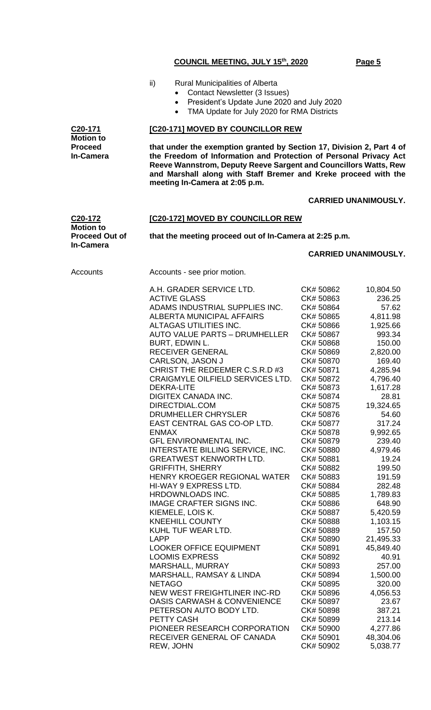- ii) Rural Municipalities of Alberta
	- Contact Newsletter (3 Issues)
	- President's Update June 2020 and July 2020
	- TMA Update for July 2020 for RMA Districts

#### **[C20-171] MOVED BY COUNCILLOR REW**

**that under the exemption granted by Section 17, Division 2, Part 4 of the Freedom of Information and Protection of Personal Privacy Act Reeve Wannstrom, Deputy Reeve Sargent and Councillors Watts, Rew and Marshall along with Staff Bremer and Kreke proceed with the meeting In-Camera at 2:05 p.m.**

# **CARRIED UNANIMOUSLY.**

**[C20-172] MOVED BY COUNCILLOR REW**

**C20-172 Motion to Proceed Out of In-Camera**

**that the meeting proceed out of In-Camera at 2:25 p.m.**

# **CARRIED UNANIMOUSLY.**

**C20-171 Motion to Proceed In-Camera**

Accounts Accounts - see prior motion.

| A.H. GRADER SERVICE LTD.               | CK# 50862 | 10,804.50 |
|----------------------------------------|-----------|-----------|
| <b>ACTIVE GLASS</b>                    | CK# 50863 | 236.25    |
| ADAMS INDUSTRIAL SUPPLIES INC.         | CK# 50864 | 57.62     |
| <b>ALBERTA MUNICIPAL AFFAIRS</b>       | CK# 50865 | 4,811.98  |
| ALTAGAS UTILITIES INC.                 | CK# 50866 | 1,925.66  |
| <b>AUTO VALUE PARTS - DRUMHELLER</b>   | CK# 50867 | 993.34    |
| BURT, EDWIN L.                         | CK# 50868 | 150.00    |
| <b>RECEIVER GENERAL</b>                | CK# 50869 | 2,820.00  |
| CARLSON, JASON J                       | CK# 50870 | 169.40    |
| CHRIST THE REDEEMER C.S.R.D #3         | CK# 50871 | 4,285.94  |
| CRAIGMYLE OILFIELD SERVICES LTD.       | CK# 50872 | 4,796.40  |
| <b>DEKRA-LITE</b>                      | CK# 50873 | 1,617.28  |
| <b>DIGITEX CANADA INC.</b>             | CK# 50874 | 28.81     |
| DIRECTDIAL.COM                         | CK# 50875 | 19,324.65 |
| DRUMHELLER CHRYSLER                    | CK# 50876 | 54.60     |
| EAST CENTRAL GAS CO-OP LTD.            | CK# 50877 | 317.24    |
| <b>ENMAX</b>                           | CK#50878  | 9,992.65  |
| GFL ENVIRONMENTAL INC.                 | CK# 50879 | 239.40    |
| INTERSTATE BILLING SERVICE, INC.       | CK# 50880 | 4,979.46  |
| <b>GREATWEST KENWORTH LTD.</b>         | CK# 50881 | 19.24     |
| <b>GRIFFITH, SHERRY</b>                | CK# 50882 | 199.50    |
| HENRY KROEGER REGIONAL WATER           | CK# 50883 | 191.59    |
| HI-WAY 9 EXPRESS LTD.                  | CK# 50884 | 282.48    |
| HRDOWNLOADS INC.                       | CK# 50885 | 1,789.83  |
| IMAGE CRAFTER SIGNS INC.               | CK# 50886 | 648.90    |
| KIEMELE, LOIS K.                       | CK# 50887 | 5,420.59  |
| <b>KNEEHILL COUNTY</b>                 | CK# 50888 | 1,103.15  |
| KUHL TUF WEAR LTD.                     | CK# 50889 | 157.50    |
| <b>LAPP</b>                            | CK# 50890 | 21,495.33 |
| <b>LOOKER OFFICE EQUIPMENT</b>         | CK# 50891 | 45,849.40 |
| <b>LOOMIS EXPRESS</b>                  | CK# 50892 | 40.91     |
| MARSHALL, MURRAY                       | CK# 50893 | 257.00    |
| MARSHALL, RAMSAY & LINDA               | CK# 50894 | 1,500.00  |
| <b>NETAGO</b>                          | CK# 50895 | 320.00    |
| <b>NEW WEST FREIGHTLINER INC-RD</b>    | CK#50896  | 4,056.53  |
| <b>OASIS CARWASH &amp; CONVENIENCE</b> | CK# 50897 | 23.67     |
| PETERSON AUTO BODY LTD.                | CK# 50898 | 387.21    |
| PETTY CASH                             | CK# 50899 | 213.14    |
| PIONEER RESEARCH CORPORATION           | CK# 50900 | 4,277.86  |
| RECEIVER GENERAL OF CANADA             | CK# 50901 | 48,304.06 |
| REW, JOHN                              | CK# 50902 | 5,038.77  |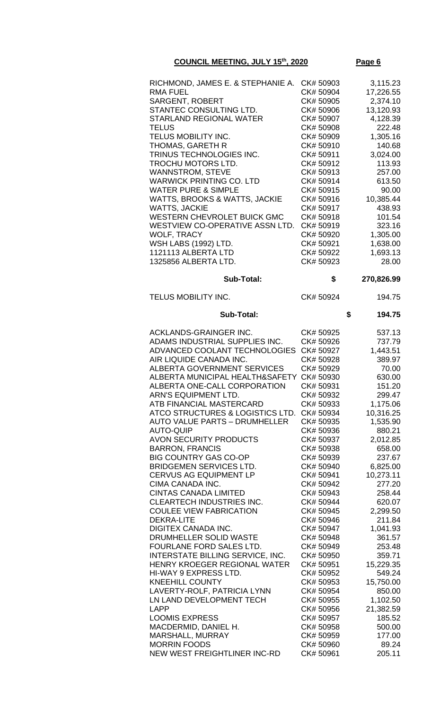| RICHMOND, JAMES E. & STEPHANIE A. CK# 50903<br>RMA FUEL<br>SARGENT, ROBERT | CK# 50904<br>CK# 50905 | 3,115.23<br>17,226.55 |
|----------------------------------------------------------------------------|------------------------|-----------------------|
|                                                                            |                        |                       |
|                                                                            |                        |                       |
|                                                                            |                        | 2,374.10              |
| STANTEC CONSULTING LTD.                                                    | CK# 50906              | 13,120.93             |
| STARLAND REGIONAL WATER                                                    | CK# 50907              | 4,128.39              |
| TELUS                                                                      | CK# 50908              | 222.48                |
| TELUS MOBILITY INC.                                                        | CK# 50909              | 1,305.16              |
| THOMAS, GARETH R                                                           | CK# 50910              | 140.68                |
| TRINUS TECHNOLOGIES INC.                                                   | CK# 50911              | 3,024.00              |
| TROCHU MOTORS LTD.                                                         | CK# 50912              | 113.93                |
| <b>WANNSTROM, STEVE</b>                                                    | CK# 50913              | 257.00                |
| WARWICK PRINTING CO. LTD                                                   | CK# 50914              | 613.50                |
| WATER PURE & SIMPLE                                                        | CK# 50915              | 90.00                 |
| WATTS, BROOKS & WATTS, JACKIE                                              | CK# 50916              | 10,385.44             |
| WATTS, JACKIE                                                              | CK# 50917              | 438.93                |
| WESTERN CHEVROLET BUICK GMC                                                | CK# 50918              | 101.54                |
| WESTVIEW CO-OPERATIVE ASSN LTD.                                            | CK# 50919              | 323.16                |
| WOLF, TRACY                                                                | CK# 50920              | 1,305.00              |
| WSH LABS (1992) LTD.                                                       | CK# 50921              | 1,638.00              |
| 1121113 ALBERTA LTD                                                        | CK# 50922              | 1,693.13              |
| 1325856 ALBERTA LTD.                                                       | CK# 50923              | 28.00                 |
|                                                                            |                        |                       |

| <b>Sub-Total:</b>                    | \$        | 270,826.99   |
|--------------------------------------|-----------|--------------|
| TELUS MOBILITY INC.                  | CK# 50924 | 194.75       |
| <b>Sub-Total:</b>                    |           | \$<br>194.75 |
| ACKLANDS-GRAINGER INC.               | CK# 50925 | 537.13       |
| ADAMS INDUSTRIAL SUPPLIES INC.       | CK# 50926 | 737.79       |
| ADVANCED COOLANT TECHNOLOGIES        | CK# 50927 | 1,443.51     |
| AIR LIQUIDE CANADA INC.              | CK# 50928 | 389.97       |
| ALBERTA GOVERNMENT SERVICES          | CK# 50929 | 70.00        |
| ALBERTA MUNICIPAL HEALTH&SAFETY      | CK# 50930 | 630.00       |
| ALBERTA ONE-CALL CORPORATION         | CK# 50931 | 151.20       |
| ARN'S EQUIPMENT LTD.                 | CK# 50932 | 299.47       |
| ATB FINANCIAL MASTERCARD             | CK# 50933 | 1,175.06     |
| ATCO STRUCTURES & LOGISTICS LTD.     | CK# 50934 | 10,316.25    |
| <b>AUTO VALUE PARTS - DRUMHELLER</b> | CK# 50935 | 1,535.90     |
| AUTO-QUIP                            | CK# 50936 | 880.21       |
| <b>AVON SECURITY PRODUCTS</b>        | CK# 50937 | 2,012.85     |
| <b>BARRON, FRANCIS</b>               | CK# 50938 | 658.00       |
| <b>BIG COUNTRY GAS CO-OP</b>         | CK# 50939 | 237.67       |
| BRIDGEMEN SERVICES LTD.              | CK# 50940 | 6,825.00     |
| CERVUS AG EQUIPMENT LP               | CK# 50941 | 10,273.11    |
| CIMA CANADA INC.                     | CK# 50942 | 277.20       |
| CINTAS CANADA LIMITED                | CK# 50943 | 258.44       |
| CLEARTECH INDUSTRIES INC.            | CK# 50944 | 620.07       |
| <b>COULEE VIEW FABRICATION</b>       | CK# 50945 | 2,299.50     |
| <b>DEKRA-LITE</b>                    | CK# 50946 | 211.84       |
| DIGITEX CANADA INC.                  | CK# 50947 | 1,041.93     |
| DRUMHELLER SOLID WASTE               | CK# 50948 | 361.57       |
| FOURLANE FORD SALES LTD.             | CK# 50949 | 253.48       |
| INTERSTATE BILLING SERVICE, INC.     | CK# 50950 | 359.71       |
| HENRY KROEGER REGIONAL WATER         | CK# 50951 | 15,229.35    |
| HI-WAY 9 EXPRESS LTD.                | CK# 50952 | 549.24       |
| KNEEHILL COUNTY                      | CK# 50953 | 15,750.00    |
| LAVERTY-ROLF, PATRICIA LYNN          | CK# 50954 | 850.00       |
| LN LAND DEVELOPMENT TECH             | CK# 50955 | 1,102.50     |
| LAPP                                 | CK# 50956 | 21,382.59    |
| <b>LOOMIS EXPRESS</b>                | CK# 50957 | 185.52       |
| MACDERMID, DANIEL H.                 | CK# 50958 | 500.00       |
| MARSHALL, MURRAY                     | CK# 50959 | 177.00       |
| MORRIN FOODS                         | CK#50960  | 89.24        |
| NEW WEST FREIGHTLINER INC-RD         | CK# 50961 | 205.11       |